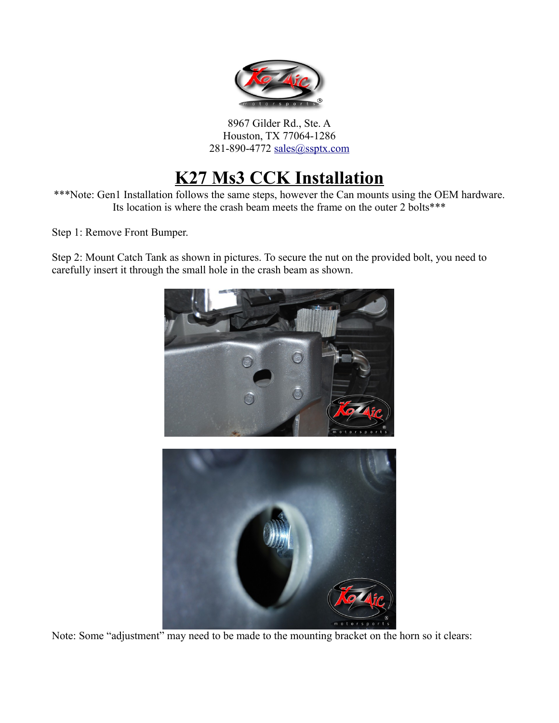

8967 Gilder Rd., Ste. A Houston, TX 77064-1286 281-890-4772 [sales@ssptx.com](mailto:sales@ssptx.com)

## **K27 Ms3 CCK Installation**

\*\*\*Note: Gen1 Installation follows the same steps, however the Can mounts using the OEM hardware. Its location is where the crash beam meets the frame on the outer 2 bolts\*\*\*

Step 1: Remove Front Bumper.

Step 2: Mount Catch Tank as shown in pictures. To secure the nut on the provided bolt, you need to carefully insert it through the small hole in the crash beam as shown.



Note: Some "adjustment" may need to be made to the mounting bracket on the horn so it clears: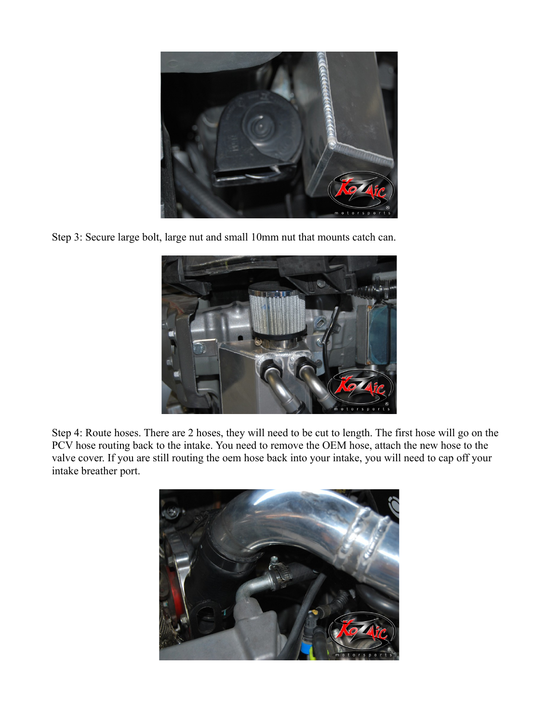

Step 3: Secure large bolt, large nut and small 10mm nut that mounts catch can.



Step 4: Route hoses. There are 2 hoses, they will need to be cut to length. The first hose will go on the PCV hose routing back to the intake. You need to remove the OEM hose, attach the new hose to the valve cover. If you are still routing the oem hose back into your intake, you will need to cap off your intake breather port.